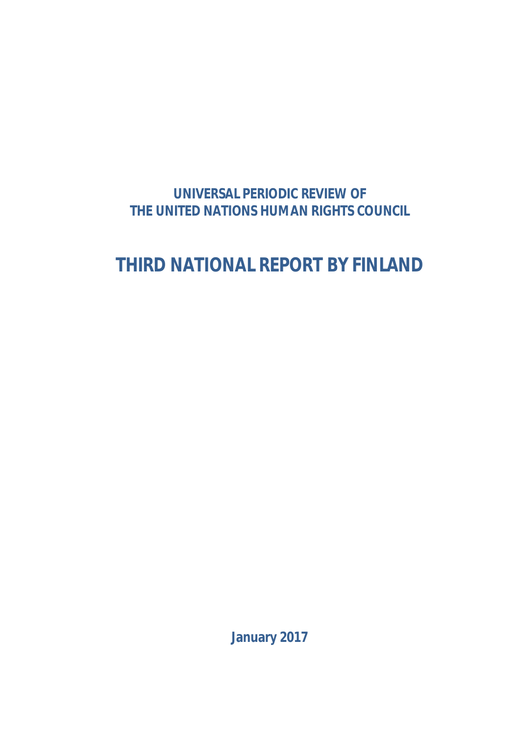# **UNIVERSAL PERIODIC REVIEW OF THE UNITED NATIONS HUMAN RIGHTS COUNCIL**

# **THIRD NATIONAL REPORT BY FINLAND**

**January 2017**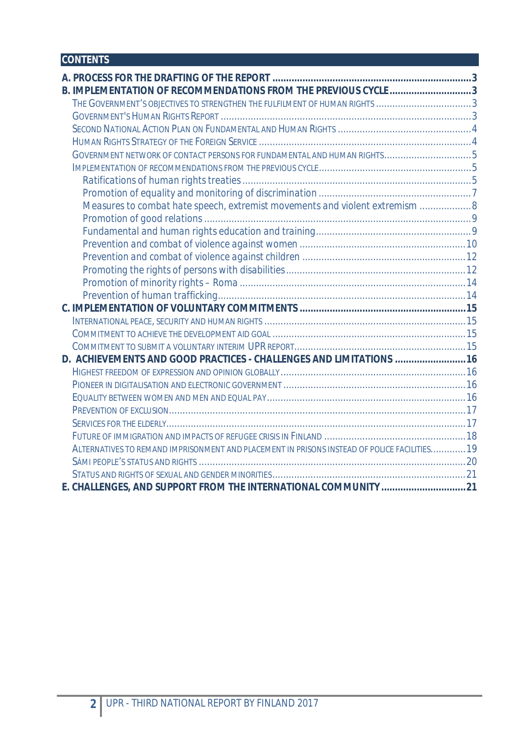# **CONTENTS**

| B. IMPLEMENTATION OF RECOMMENDATIONS FROM THE PREVIOUS CYCLE 3                              |  |
|---------------------------------------------------------------------------------------------|--|
| THE GOVERNMENT'S OBJECTIVES TO STRENGTHEN THE FULFILMENT OF HUMAN RIGHTS 3                  |  |
|                                                                                             |  |
|                                                                                             |  |
|                                                                                             |  |
|                                                                                             |  |
|                                                                                             |  |
|                                                                                             |  |
|                                                                                             |  |
| Measures to combat hate speech, extremist movements and violent extremism  8                |  |
|                                                                                             |  |
|                                                                                             |  |
|                                                                                             |  |
|                                                                                             |  |
|                                                                                             |  |
|                                                                                             |  |
|                                                                                             |  |
|                                                                                             |  |
|                                                                                             |  |
|                                                                                             |  |
|                                                                                             |  |
| D. ACHIEVEMENTS AND GOOD PRACTICES - CHALLENGES AND LIMITATIONS  16                         |  |
|                                                                                             |  |
|                                                                                             |  |
|                                                                                             |  |
|                                                                                             |  |
|                                                                                             |  |
|                                                                                             |  |
| ALTERNATIVES TO REMAND IMPRISONMENT AND PLACEMENT IN PRISONS INSTEAD OF POLICE FACILITIES19 |  |
|                                                                                             |  |
|                                                                                             |  |
| E. CHALLENGES, AND SUPPORT FROM THE INTERNATIONAL COMMUNITY 21                              |  |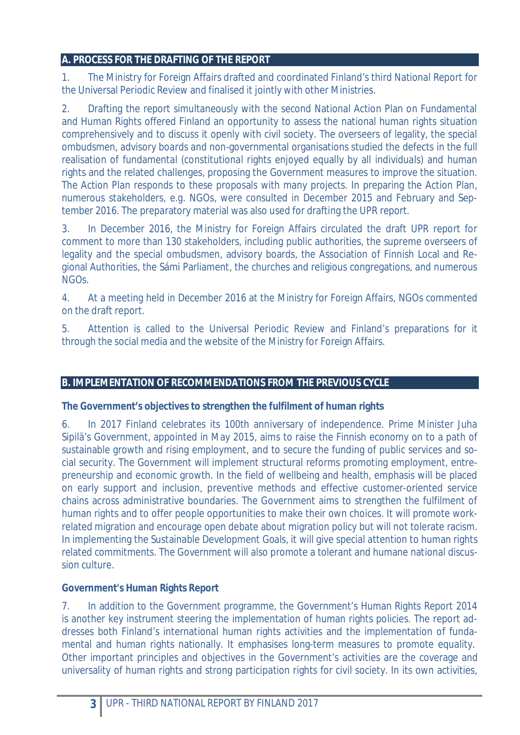#### **A. PROCESS FOR THE DRAFTING OF THE REPORT**

1. The Ministry for Foreign Affairs drafted and coordinated Finland's third National Report for the Universal Periodic Review and finalised it jointly with other Ministries.

2. Drafting the report simultaneously with the second National Action Plan on Fundamental and Human Rights offered Finland an opportunity to assess the national human rights situation comprehensively and to discuss it openly with civil society. The overseers of legality, the special ombudsmen, advisory boards and non-governmental organisations studied the defects in the full realisation of fundamental (constitutional rights enjoyed equally by all individuals) and human rights and the related challenges, proposing the Government measures to improve the situation. The Action Plan responds to these proposals with many projects. In preparing the Action Plan, numerous stakeholders, e.g. NGOs, were consulted in December 2015 and February and September 2016. The preparatory material was also used for drafting the UPR report.

3. In December 2016, the Ministry for Foreign Affairs circulated the draft UPR report for comment to more than 130 stakeholders, including public authorities, the supreme overseers of legality and the special ombudsmen, advisory boards, the Association of Finnish Local and Regional Authorities, the Sámi Parliament, the churches and religious congregations, and numerous NGOs.

4. At a meeting held in December 2016 at the Ministry for Foreign Affairs, NGOs commented on the draft report.

5. Attention is called to the Universal Periodic Review and Finland's preparations for it through the social media and the website of the Ministry for Foreign Affairs.

### **B. IMPLEMENTATION OF RECOMMENDATIONS FROM THE PREVIOUS CYCLE**

**The Government's objectives to strengthen the fulfilment of human rights** 

6. In 2017 Finland celebrates its 100th anniversary of independence. Prime Minister Juha Sipilä's Government, appointed in May 2015, aims to raise the Finnish economy on to a path of sustainable growth and rising employment, and to secure the funding of public services and social security. The Government will implement structural reforms promoting employment, entrepreneurship and economic growth. In the field of wellbeing and health, emphasis will be placed on early support and inclusion, preventive methods and effective customer-oriented service chains across administrative boundaries. The Government aims to strengthen the fulfilment of human rights and to offer people opportunities to make their own choices. It will promote workrelated migration and encourage open debate about migration policy but will not tolerate racism. In implementing the Sustainable Development Goals, it will give special attention to human rights related commitments. The Government will also promote a tolerant and humane national discussion culture.

### **Government's Human Rights Report**

7. In addition to the Government programme, the Government's Human Rights Report 2014 is another key instrument steering the implementation of human rights policies. The report addresses both Finland's international human rights activities and the implementation of fundamental and human rights nationally. It emphasises long-term measures to promote equality. Other important principles and objectives in the Government's activities are the coverage and universality of human rights and strong participation rights for civil society. In its own activities,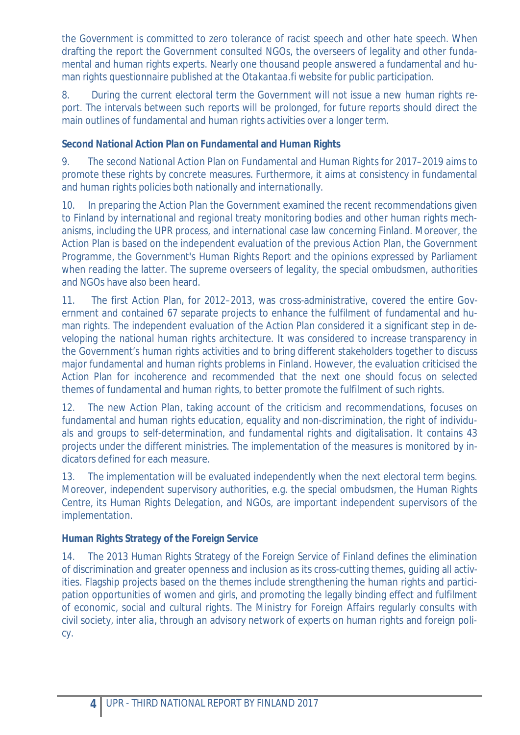the Government is committed to zero tolerance of racist speech and other hate speech. When drafting the report the Government consulted NGOs, the overseers of legality and other fundamental and human rights experts. Nearly one thousand people answered a fundamental and human rights questionnaire published at the *Otakantaa.fi* website for public participation.

8. During the current electoral term the Government will not issue a new human rights report. The intervals between such reports will be prolonged, for future reports should direct the main outlines of fundamental and human rights activities over a longer term.

**Second National Action Plan on Fundamental and Human Rights** 

9. The second National Action Plan on Fundamental and Human Rights for 2017–2019 aims to promote these rights by concrete measures. Furthermore, it aims at consistency in fundamental and human rights policies both nationally and internationally.

10. In preparing the Action Plan the Government examined the recent recommendations given to Finland by international and regional treaty monitoring bodies and other human rights mechanisms, including the UPR process, and international case law concerning Finland. Moreover, the Action Plan is based on the independent evaluation of the previous Action Plan, the Government Programme, the Government's Human Rights Report and the opinions expressed by Parliament when reading the latter. The supreme overseers of legality, the special ombudsmen, authorities and NGOs have also been heard.

11. The first Action Plan, for 2012–2013, was cross-administrative, covered the entire Government and contained 67 separate projects to enhance the fulfilment of fundamental and human rights. The independent evaluation of the Action Plan considered it a significant step in developing the national human rights architecture. It was considered to increase transparency in the Government's human rights activities and to bring different stakeholders together to discuss major fundamental and human rights problems in Finland. However, the evaluation criticised the Action Plan for incoherence and recommended that the next one should focus on selected themes of fundamental and human rights, to better promote the fulfilment of such rights.

12. The new Action Plan, taking account of the criticism and recommendations, focuses on fundamental and human rights education, equality and non-discrimination, the right of individuals and groups to self-determination, and fundamental rights and digitalisation. It contains 43 projects under the different ministries. The implementation of the measures is monitored by indicators defined for each measure.

13. The implementation will be evaluated independently when the next electoral term begins. Moreover, independent supervisory authorities, e.g. the special ombudsmen, the Human Rights Centre, its Human Rights Delegation, and NGOs, are important independent supervisors of the implementation.

**Human Rights Strategy of the Foreign Service** 

14. The 2013 Human Rights Strategy of the Foreign Service of Finland defines the elimination of discrimination and greater openness and inclusion as its cross-cutting themes, guiding all activities. Flagship projects based on the themes include strengthening the human rights and participation opportunities of women and girls, and promoting the legally binding effect and fulfilment of economic, social and cultural rights. The Ministry for Foreign Affairs regularly consults with civil society, *inter alia*, through an advisory network of experts on human rights and foreign policy.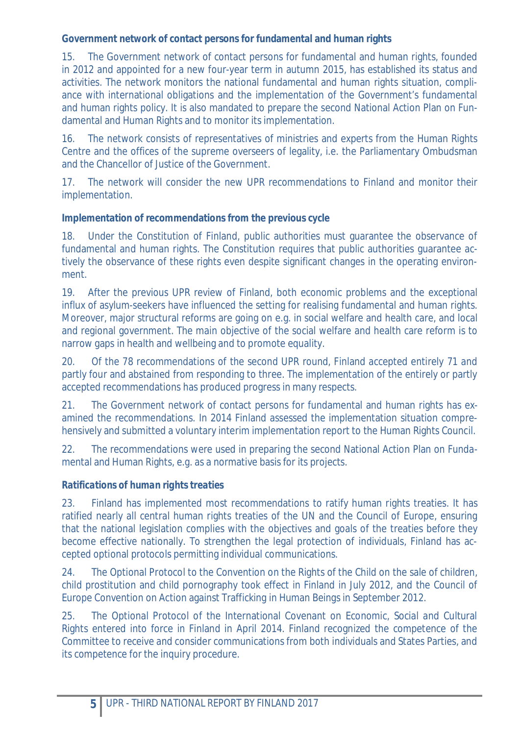**Government network of contact persons for fundamental and human rights** 

15. The Government network of contact persons for fundamental and human rights, founded in 2012 and appointed for a new four-year term in autumn 2015, has established its status and activities. The network monitors the national fundamental and human rights situation, compliance with international obligations and the implementation of the Government's fundamental and human rights policy. It is also mandated to prepare the second National Action Plan on Fundamental and Human Rights and to monitor its implementation.

16. The network consists of representatives of ministries and experts from the Human Rights Centre and the offices of the supreme overseers of legality, i.e. the Parliamentary Ombudsman and the Chancellor of Justice of the Government.

17. The network will consider the new UPR recommendations to Finland and monitor their implementation.

**Implementation of recommendations from the previous cycle** 

18. Under the Constitution of Finland, public authorities must guarantee the observance of fundamental and human rights. The Constitution requires that public authorities guarantee actively the observance of these rights even despite significant changes in the operating environment.

19. After the previous UPR review of Finland, both economic problems and the exceptional influx of asylum-seekers have influenced the setting for realising fundamental and human rights. Moreover, major structural reforms are going on e.g. in social welfare and health care, and local and regional government. The main objective of the social welfare and health care reform is to narrow gaps in health and wellbeing and to promote equality.

20. Of the 78 recommendations of the second UPR round, Finland accepted entirely 71 and partly four and abstained from responding to three. The implementation of the entirely or partly accepted recommendations has produced progress in many respects.

21. The Government network of contact persons for fundamental and human rights has examined the recommendations. In 2014 Finland assessed the implementation situation comprehensively and submitted a voluntary interim implementation report to the Human Rights Council.

22. The recommendations were used in preparing the second National Action Plan on Fundamental and Human Rights, e.g. as a normative basis for its projects.

# *Ratifications of human rights treaties*

23. Finland has implemented most recommendations to ratify human rights treaties. It has ratified nearly all central human rights treaties of the UN and the Council of Europe, ensuring that the national legislation complies with the objectives and goals of the treaties before they become effective nationally. To strengthen the legal protection of individuals, Finland has accepted optional protocols permitting individual communications.

24. The Optional Protocol to the Convention on the Rights of the Child on the sale of children, child prostitution and child pornography took effect in Finland in July 2012, and the Council of Europe Convention on Action against Trafficking in Human Beings in September 2012.

25. The Optional Protocol of the International Covenant on Economic, Social and Cultural Rights entered into force in Finland in April 2014. Finland recognized the competence of the Committee to receive and consider communications from both individuals and States Parties, and its competence for the inquiry procedure.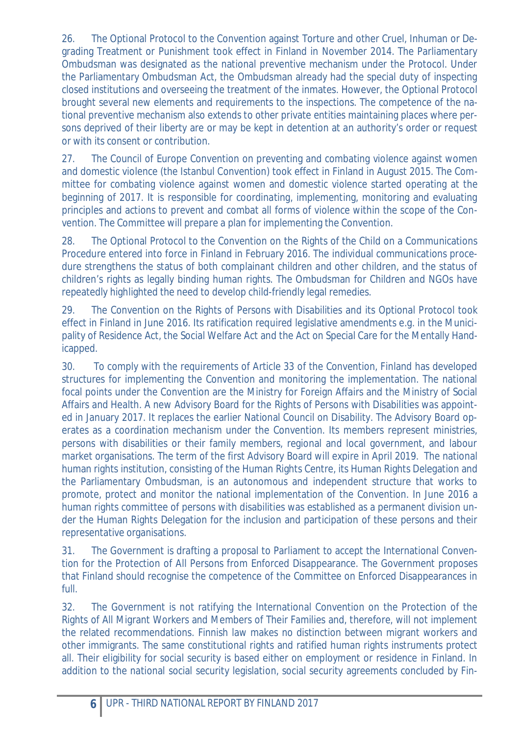26. The Optional Protocol to the Convention against Torture and other Cruel, Inhuman or Degrading Treatment or Punishment took effect in Finland in November 2014. The Parliamentary Ombudsman was designated as the national preventive mechanism under the Protocol. Under the Parliamentary Ombudsman Act, the Ombudsman already had the special duty of inspecting closed institutions and overseeing the treatment of the inmates. However, the Optional Protocol brought several new elements and requirements to the inspections. The competence of the national preventive mechanism also extends to other private entities maintaining places where persons deprived of their liberty are or may be kept in detention at an authority's order or request or with its consent or contribution.

27. The Council of Europe Convention on preventing and combating violence against women and domestic violence (the Istanbul Convention) took effect in Finland in August 2015. The Committee for combating violence against women and domestic violence started operating at the beginning of 2017. It is responsible for coordinating, implementing, monitoring and evaluating principles and actions to prevent and combat all forms of violence within the scope of the Convention. The Committee will prepare a plan for implementing the Convention.

28. The Optional Protocol to the Convention on the Rights of the Child on a Communications Procedure entered into force in Finland in February 2016. The individual communications procedure strengthens the status of both complainant children and other children, and the status of children's rights as legally binding human rights. The Ombudsman for Children and NGOs have repeatedly highlighted the need to develop child-friendly legal remedies.

29. The Convention on the Rights of Persons with Disabilities and its Optional Protocol took effect in Finland in June 2016. Its ratification required legislative amendments e.g. in the Municipality of Residence Act, the Social Welfare Act and the Act on Special Care for the Mentally Handicapped.

30. To comply with the requirements of Article 33 of the Convention, Finland has developed structures for implementing the Convention and monitoring the implementation. The national focal points under the Convention are the Ministry for Foreign Affairs and the Ministry of Social Affairs and Health. A new Advisory Board for the Rights of Persons with Disabilities was appointed in January 2017. It replaces the earlier National Council on Disability. The Advisory Board operates as a coordination mechanism under the Convention. Its members represent ministries, persons with disabilities or their family members, regional and local government, and labour market organisations. The term of the first Advisory Board will expire in April 2019. The national human rights institution, consisting of the Human Rights Centre, its Human Rights Delegation and the Parliamentary Ombudsman, is an autonomous and independent structure that works to promote, protect and monitor the national implementation of the Convention. In June 2016 a human rights committee of persons with disabilities was established as a permanent division under the Human Rights Delegation for the inclusion and participation of these persons and their representative organisations.

31. The Government is drafting a proposal to Parliament to accept the International Convention for the Protection of All Persons from Enforced Disappearance. The Government proposes that Finland should recognise the competence of the Committee on Enforced Disappearances in full.

32. The Government is not ratifying the International Convention on the Protection of the Rights of All Migrant Workers and Members of Their Families and, therefore, will not implement the related recommendations. Finnish law makes no distinction between migrant workers and other immigrants. The same constitutional rights and ratified human rights instruments protect all. Their eligibility for social security is based either on employment or residence in Finland. In addition to the national social security legislation, social security agreements concluded by Fin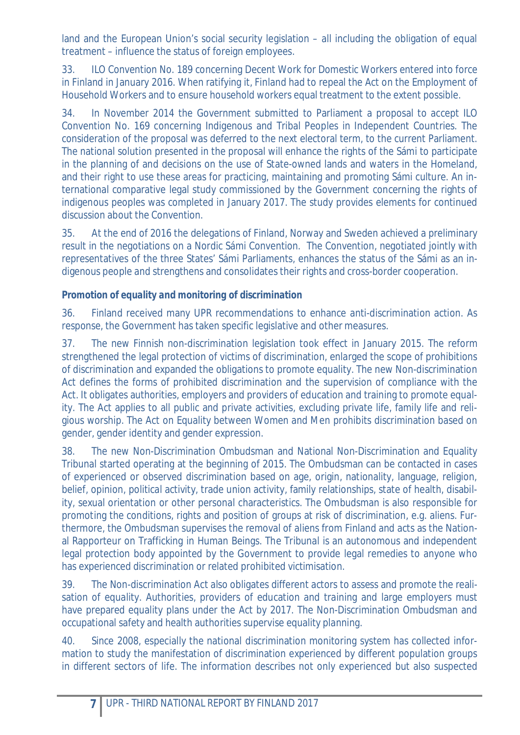land and the European Union's social security legislation – all including the obligation of equal treatment – influence the status of foreign employees.

33. ILO Convention No. 189 concerning Decent Work for Domestic Workers entered into force in Finland in January 2016. When ratifying it, Finland had to repeal the Act on the Employment of Household Workers and to ensure household workers equal treatment to the extent possible.

34. In November 2014 the Government submitted to Parliament a proposal to accept ILO Convention No. 169 concerning Indigenous and Tribal Peoples in Independent Countries. The consideration of the proposal was deferred to the next electoral term, to the current Parliament. The national solution presented in the proposal will enhance the rights of the Sámi to participate in the planning of and decisions on the use of State-owned lands and waters in the Homeland, and their right to use these areas for practicing, maintaining and promoting Sámi culture. An international comparative legal study commissioned by the Government concerning the rights of indigenous peoples was completed in January 2017. The study provides elements for continued discussion about the Convention.

35. At the end of 2016 the delegations of Finland, Norway and Sweden achieved a preliminary result in the negotiations on a Nordic Sámi Convention. The Convention, negotiated jointly with representatives of the three States' Sámi Parliaments, enhances the status of the Sámi as an indigenous people and strengthens and consolidates their rights and cross-border cooperation.

# *Promotion of equality and monitoring of discrimination*

36. Finland received many UPR recommendations to enhance anti-discrimination action. As response, the Government has taken specific legislative and other measures.

37. The new Finnish non-discrimination legislation took effect in January 2015. The reform strengthened the legal protection of victims of discrimination, enlarged the scope of prohibitions of discrimination and expanded the obligations to promote equality. The new Non-discrimination Act defines the forms of prohibited discrimination and the supervision of compliance with the Act. It obligates authorities, employers and providers of education and training to promote equality. The Act applies to all public and private activities, excluding private life, family life and religious worship. The Act on Equality between Women and Men prohibits discrimination based on gender, gender identity and gender expression.

38. The new Non-Discrimination Ombudsman and National Non-Discrimination and Equality Tribunal started operating at the beginning of 2015. The Ombudsman can be contacted in cases of experienced or observed discrimination based on age, origin, nationality, language, religion, belief, opinion, political activity, trade union activity, family relationships, state of health, disability, sexual orientation or other personal characteristics. The Ombudsman is also responsible for promoting the conditions, rights and position of groups at risk of discrimination, e.g. aliens. Furthermore, the Ombudsman supervises the removal of aliens from Finland and acts as the National Rapporteur on Trafficking in Human Beings. The Tribunal is an autonomous and independent legal protection body appointed by the Government to provide legal remedies to anyone who has experienced discrimination or related prohibited victimisation.

39. The Non-discrimination Act also obligates different actors to assess and promote the realisation of equality. Authorities, providers of education and training and large employers must have prepared equality plans under the Act by 2017. The Non-Discrimination Ombudsman and occupational safety and health authorities supervise equality planning.

40. Since 2008, especially the national discrimination monitoring system has collected information to study the manifestation of discrimination experienced by different population groups in different sectors of life. The information describes not only experienced but also suspected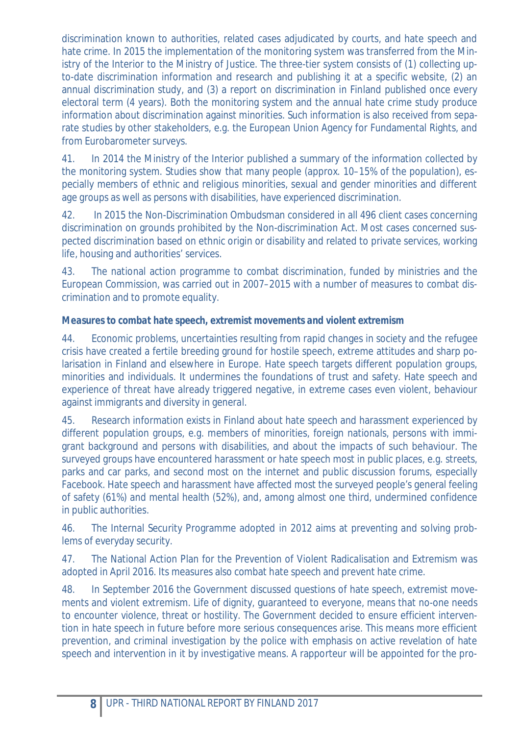discrimination known to authorities, related cases adjudicated by courts, and hate speech and hate crime. In 2015 the implementation of the monitoring system was transferred from the Ministry of the Interior to the Ministry of Justice. The three-tier system consists of (1) collecting upto-date discrimination information and research and publishing it at a specific website, (2) an annual discrimination study, and (3) a report on discrimination in Finland published once every electoral term (4 years). Both the monitoring system and the annual hate crime study produce information about discrimination against minorities. Such information is also received from separate studies by other stakeholders, e.g. the European Union Agency for Fundamental Rights, and from Eurobarometer surveys.

41. In 2014 the Ministry of the Interior published a summary of the information collected by the monitoring system. Studies show that many people (approx. 10–15% of the population), especially members of ethnic and religious minorities, sexual and gender minorities and different age groups as well as persons with disabilities, have experienced discrimination.

42. In 2015 the Non-Discrimination Ombudsman considered in all 496 client cases concerning discrimination on grounds prohibited by the Non-discrimination Act. Most cases concerned suspected discrimination based on ethnic origin or disability and related to private services, working life, housing and authorities' services.

43. The national action programme to combat discrimination, funded by ministries and the European Commission, was carried out in 2007–2015 with a number of measures to combat discrimination and to promote equality.

# *Measures to combat hate speech, extremist movements and violent extremism*

44. Economic problems, uncertainties resulting from rapid changes in society and the refugee crisis have created a fertile breeding ground for hostile speech, extreme attitudes and sharp polarisation in Finland and elsewhere in Europe. Hate speech targets different population groups, minorities and individuals. It undermines the foundations of trust and safety. Hate speech and experience of threat have already triggered negative, in extreme cases even violent, behaviour against immigrants and diversity in general.

45. Research information exists in Finland about hate speech and harassment experienced by different population groups, e.g. members of minorities, foreign nationals, persons with immigrant background and persons with disabilities, and about the impacts of such behaviour. The surveyed groups have encountered harassment or hate speech most in public places, e.g. streets, parks and car parks, and second most on the internet and public discussion forums, especially Facebook. Hate speech and harassment have affected most the surveyed people's general feeling of safety (61%) and mental health (52%), and, among almost one third, undermined confidence in public authorities.

46. The Internal Security Programme adopted in 2012 aims at preventing and solving problems of everyday security.

47. The National Action Plan for the Prevention of Violent Radicalisation and Extremism was adopted in April 2016. Its measures also combat hate speech and prevent hate crime.

48. In September 2016 the Government discussed questions of hate speech, extremist movements and violent extremism. Life of dignity, guaranteed to everyone, means that no-one needs to encounter violence, threat or hostility. The Government decided to ensure efficient intervention in hate speech in future before more serious consequences arise. This means more efficient prevention, and criminal investigation by the police with emphasis on active revelation of hate speech and intervention in it by investigative means. A rapporteur will be appointed for the pro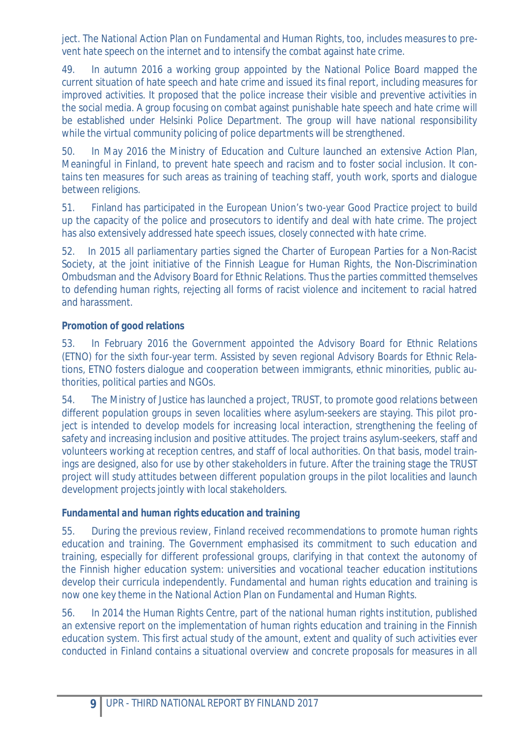ject. The National Action Plan on Fundamental and Human Rights, too, includes measures to prevent hate speech on the internet and to intensify the combat against hate crime.

49. In autumn 2016 a working group appointed by the National Police Board mapped the current situation of hate speech and hate crime and issued its final report, including measures for improved activities. It proposed that the police increase their visible and preventive activities in the social media. A group focusing on combat against punishable hate speech and hate crime will be established under Helsinki Police Department. The group will have national responsibility while the virtual community policing of police departments will be strengthened.

50. In May 2016 the Ministry of Education and Culture launched an extensive Action Plan, *Meaningful in Finland*, to prevent hate speech and racism and to foster social inclusion. It contains ten measures for such areas as training of teaching staff, youth work, sports and dialogue between religions.

51. Finland has participated in the European Union's two-year *Good Practice* project to build up the capacity of the police and prosecutors to identify and deal with hate crime. The project has also extensively addressed hate speech issues, closely connected with hate crime.

52. In 2015 all parliamentary parties signed the Charter of European Parties for a Non-Racist Society, at the joint initiative of the Finnish League for Human Rights, the Non-Discrimination Ombudsman and the Advisory Board for Ethnic Relations. Thus the parties committed themselves to defending human rights, rejecting all forms of racist violence and incitement to racial hatred and harassment.

# *Promotion of good relations*

53. In February 2016 the Government appointed the Advisory Board for Ethnic Relations (ETNO) for the sixth four-year term. Assisted by seven regional Advisory Boards for Ethnic Relations, ETNO fosters dialogue and cooperation between immigrants, ethnic minorities, public authorities, political parties and NGOs.

54. The Ministry of Justice has launched a project, *TRUST,* to promote good relations between different population groups in seven localities where asylum-seekers are staying. This pilot project is intended to develop models for increasing local interaction, strengthening the feeling of safety and increasing inclusion and positive attitudes. The project trains asylum-seekers, staff and volunteers working at reception centres, and staff of local authorities. On that basis, model trainings are designed, also for use by other stakeholders in future. After the training stage the *TRUST* project will study attitudes between different population groups in the pilot localities and launch development projects jointly with local stakeholders.

### *Fundamental and human rights education and training*

55. During the previous review, Finland received recommendations to promote human rights education and training. The Government emphasised its commitment to such education and training, especially for different professional groups, clarifying in that context the autonomy of the Finnish higher education system: universities and vocational teacher education institutions develop their curricula independently. Fundamental and human rights education and training is now one key theme in the National Action Plan on Fundamental and Human Rights.

56. In 2014 the Human Rights Centre, part of the national human rights institution, published an extensive report on the implementation of human rights education and training in the Finnish education system. This first actual study of the amount, extent and quality of such activities ever conducted in Finland contains a situational overview and concrete proposals for measures in all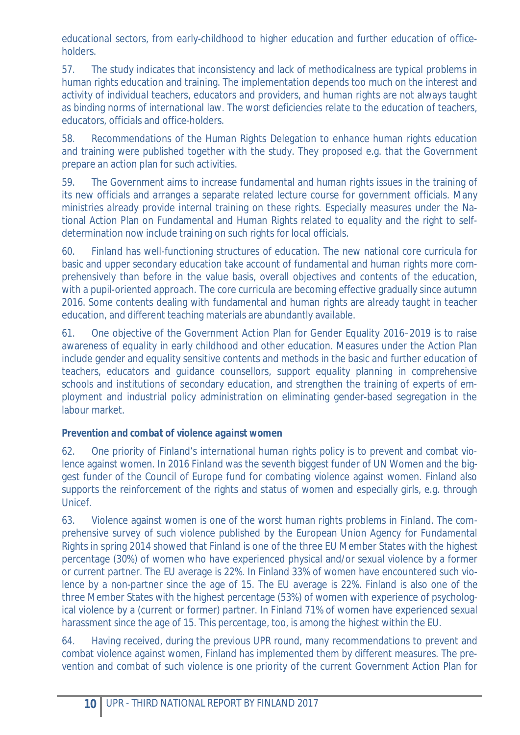educational sectors, from early-childhood to higher education and further education of officeholders.

57. The study indicates that inconsistency and lack of methodicalness are typical problems in human rights education and training. The implementation depends too much on the interest and activity of individual teachers, educators and providers, and human rights are not always taught as binding norms of international law. The worst deficiencies relate to the education of teachers, educators, officials and office-holders.

58. Recommendations of the Human Rights Delegation to enhance human rights education and training were published together with the study. They proposed e.g. that the Government prepare an action plan for such activities.

59. The Government aims to increase fundamental and human rights issues in the training of its new officials and arranges a separate related lecture course for government officials. Many ministries already provide internal training on these rights. Especially measures under the National Action Plan on Fundamental and Human Rights related to equality and the right to selfdetermination now include training on such rights for local officials.

60. Finland has well-functioning structures of education. The new national core curricula for basic and upper secondary education take account of fundamental and human rights more comprehensively than before in the value basis, overall objectives and contents of the education, with a pupil-oriented approach. The core curricula are becoming effective gradually since autumn 2016. Some contents dealing with fundamental and human rights are already taught in teacher education, and different teaching materials are abundantly available.

61. One objective of the Government Action Plan for Gender Equality 2016–2019 is to raise awareness of equality in early childhood and other education. Measures under the Action Plan include gender and equality sensitive contents and methods in the basic and further education of teachers, educators and guidance counsellors, support equality planning in comprehensive schools and institutions of secondary education, and strengthen the training of experts of employment and industrial policy administration on eliminating gender-based segregation in the labour market.

# *Prevention and combat of violence against women*

62. One priority of Finland's international human rights policy is to prevent and combat violence against women. In 2016 Finland was the seventh biggest funder of UN Women and the biggest funder of the Council of Europe fund for combating violence against women. Finland also supports the reinforcement of the rights and status of women and especially girls, e.g. through Unicef.

63. Violence against women is one of the worst human rights problems in Finland. The comprehensive survey of such violence published by the European Union Agency for Fundamental Rights in spring 2014 showed that Finland is one of the three EU Member States with the highest percentage (30%) of women who have experienced physical and/or sexual violence by a former or current partner. The EU average is 22%. In Finland 33% of women have encountered such violence by a non-partner since the age of 15. The EU average is 22%. Finland is also one of the three Member States with the highest percentage (53%) of women with experience of psychological violence by a (current or former) partner. In Finland 71% of women have experienced sexual harassment since the age of 15. This percentage, too, is among the highest within the EU.

64. Having received, during the previous UPR round, many recommendations to prevent and combat violence against women, Finland has implemented them by different measures. The prevention and combat of such violence is one priority of the current Government Action Plan for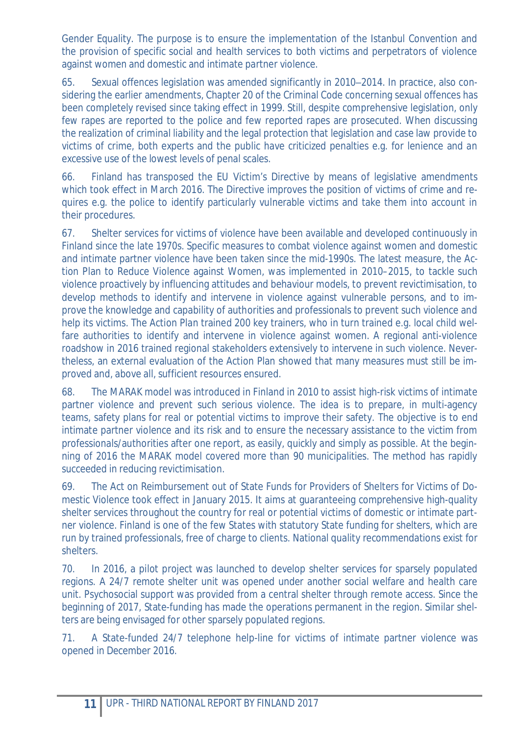Gender Equality. The purpose is to ensure the implementation of the Istanbul Convention and the provision of specific social and health services to both victims and perpetrators of violence against women and domestic and intimate partner violence.

65. Sexual offences legislation was amended significantly in 2010–2014. In practice, also considering the earlier amendments, Chapter 20 of the Criminal Code concerning sexual offences has been completely revised since taking effect in 1999. Still, despite comprehensive legislation, only few rapes are reported to the police and few reported rapes are prosecuted. When discussing the realization of criminal liability and the legal protection that legislation and case law provide to victims of crime, both experts and the public have criticized penalties e.g. for lenience and an excessive use of the lowest levels of penal scales.

66. Finland has transposed the EU Victim's Directive by means of legislative amendments which took effect in March 2016. The Directive improves the position of victims of crime and requires e.g. the police to identify particularly vulnerable victims and take them into account in their procedures.

67. Shelter services for victims of violence have been available and developed continuously in Finland since the late 1970s. Specific measures to combat violence against women and domestic and intimate partner violence have been taken since the mid-1990s. The latest measure, the Action Plan to Reduce Violence against Women, was implemented in 2010–2015, to tackle such violence proactively by influencing attitudes and behaviour models, to prevent revictimisation, to develop methods to identify and intervene in violence against vulnerable persons, and to improve the knowledge and capability of authorities and professionals to prevent such violence and help its victims. The Action Plan trained 200 key trainers, who in turn trained e.g. local child welfare authorities to identify and intervene in violence against women. A regional anti-violence roadshow in 2016 trained regional stakeholders extensively to intervene in such violence. Nevertheless, an external evaluation of the Action Plan showed that many measures must still be improved and, above all, sufficient resources ensured.

68. The MARAK model was introduced in Finland in 2010 to assist high-risk victims of intimate partner violence and prevent such serious violence. The idea is to prepare, in multi-agency teams, safety plans for real or potential victims to improve their safety. The objective is to end intimate partner violence and its risk and to ensure the necessary assistance to the victim from professionals/authorities after one report, as easily, quickly and simply as possible. At the beginning of 2016 the MARAK model covered more than 90 municipalities. The method has rapidly succeeded in reducing revictimisation.

69. The Act on Reimbursement out of State Funds for Providers of Shelters for Victims of Domestic Violence took effect in January 2015. It aims at guaranteeing comprehensive high-quality shelter services throughout the country for real or potential victims of domestic or intimate partner violence. Finland is one of the few States with statutory State funding for shelters, which are run by trained professionals, free of charge to clients. National quality recommendations exist for shelters.

70. In 2016, a pilot project was launched to develop shelter services for sparsely populated regions. A 24/7 remote shelter unit was opened under another social welfare and health care unit. Psychosocial support was provided from a central shelter through remote access. Since the beginning of 2017, State-funding has made the operations permanent in the region. Similar shelters are being envisaged for other sparsely populated regions.

71. A State-funded 24/7 telephone help-line for victims of intimate partner violence was opened in December 2016.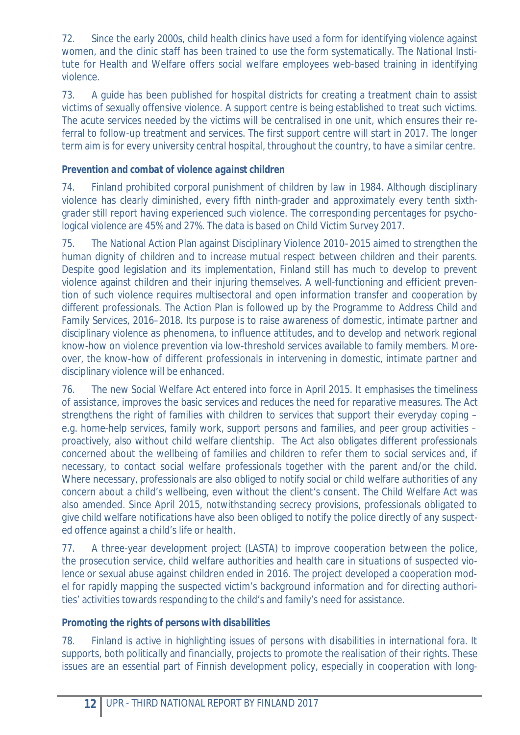72. Since the early 2000s, child health clinics have used a form for identifying violence against women, and the clinic staff has been trained to use the form systematically. The National Institute for Health and Welfare offers social welfare employees web-based training in identifying violence.

73. A guide has been published for hospital districts for creating a treatment chain to assist victims of sexually offensive violence. A support centre is being established to treat such victims. The acute services needed by the victims will be centralised in one unit, which ensures their referral to follow-up treatment and services. The first support centre will start in 2017. The longer term aim is for every university central hospital, throughout the country, to have a similar centre.

# *Prevention and combat of violence against children*

74. Finland prohibited corporal punishment of children by law in 1984. Although disciplinary violence has clearly diminished, every fifth ninth-grader and approximately every tenth sixthgrader still report having experienced such violence. The corresponding percentages for psychological violence are 45% and 27%. The data is based on Child Victim Survey 2017.

75. The National Action Plan against Disciplinary Violence 2010–2015 aimed to strengthen the human dignity of children and to increase mutual respect between children and their parents. Despite good legislation and its implementation, Finland still has much to develop to prevent violence against children and their injuring themselves. A well-functioning and efficient prevention of such violence requires multisectoral and open information transfer and cooperation by different professionals. The Action Plan is followed up by the Programme to Address Child and Family Services, 2016–2018. Its purpose is to raise awareness of domestic, intimate partner and disciplinary violence as phenomena, to influence attitudes, and to develop and network regional know-how on violence prevention via low-threshold services available to family members. Moreover, the know-how of different professionals in intervening in domestic, intimate partner and disciplinary violence will be enhanced.

76. The new Social Welfare Act entered into force in April 2015. It emphasises the timeliness of assistance, improves the basic services and reduces the need for reparative measures. The Act strengthens the right of families with children to services that support their everyday coping – e.g. home-help services, family work, support persons and families, and peer group activities – proactively, also without child welfare clientship. The Act also obligates different professionals concerned about the wellbeing of families and children to refer them to social services and, if necessary, to contact social welfare professionals together with the parent and/or the child. Where necessary, professionals are also obliged to notify social or child welfare authorities of any concern about a child's wellbeing, even without the client's consent. The Child Welfare Act was also amended. Since April 2015, notwithstanding secrecy provisions, professionals obligated to give child welfare notifications have also been obliged to notify the police directly of any suspected offence against a child's life or health.

77. A three-year development project (LASTA) to improve cooperation between the police, the prosecution service, child welfare authorities and health care in situations of suspected violence or sexual abuse against children ended in 2016. The project developed a cooperation model for rapidly mapping the suspected victim's background information and for directing authorities' activities towards responding to the child's and family's need for assistance.

### *Promoting the rights of persons with disabilities*

78. Finland is active in highlighting issues of persons with disabilities in international fora. It supports, both politically and financially, projects to promote the realisation of their rights. These issues are an essential part of Finnish development policy, especially in cooperation with long-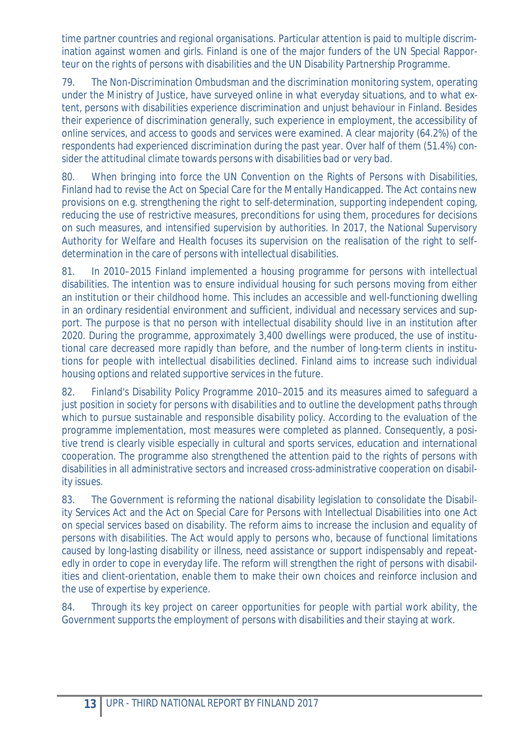time partner countries and regional organisations. Particular attention is paid to multiple discrimination against women and girls. Finland is one of the major funders of the UN Special Rapporteur on the rights of persons with disabilities and the UN Disability Partnership Programme.

79. The Non-Discrimination Ombudsman and the discrimination monitoring system, operating under the Ministry of Justice, have surveyed online in what everyday situations, and to what extent, persons with disabilities experience discrimination and unjust behaviour in Finland. Besides their experience of discrimination generally, such experience in employment, the accessibility of online services, and access to goods and services were examined. A clear majority (64.2%) of the respondents had experienced discrimination during the past year. Over half of them (51.4%) consider the attitudinal climate towards persons with disabilities bad or very bad.

80. When bringing into force the UN Convention on the Rights of Persons with Disabilities, Finland had to revise the Act on Special Care for the Mentally Handicapped. The Act contains new provisions on e.g. strengthening the right to self-determination, supporting independent coping, reducing the use of restrictive measures, preconditions for using them, procedures for decisions on such measures, and intensified supervision by authorities. In 2017, the National Supervisory Authority for Welfare and Health focuses its supervision on the realisation of the right to selfdetermination in the care of persons with intellectual disabilities.

81. In 2010–2015 Finland implemented a housing programme for persons with intellectual disabilities. The intention was to ensure individual housing for such persons moving from either an institution or their childhood home. This includes an accessible and well-functioning dwelling in an ordinary residential environment and sufficient, individual and necessary services and support. The purpose is that no person with intellectual disability should live in an institution after 2020. During the programme, approximately 3,400 dwellings were produced, the use of institutional care decreased more rapidly than before, and the number of long-term clients in institutions for people with intellectual disabilities declined. Finland aims to increase such individual housing options and related supportive services in the future.

82. Finland's Disability Policy Programme 2010–2015 and its measures aimed to safeguard a just position in society for persons with disabilities and to outline the development paths through which to pursue sustainable and responsible disability policy. According to the evaluation of the programme implementation, most measures were completed as planned. Consequently, a positive trend is clearly visible especially in cultural and sports services, education and international cooperation. The programme also strengthened the attention paid to the rights of persons with disabilities in all administrative sectors and increased cross-administrative cooperation on disability issues.

83. The Government is reforming the national disability legislation to consolidate the Disability Services Act and the Act on Special Care for Persons with Intellectual Disabilities into one Act on special services based on disability. The reform aims to increase the inclusion and equality of persons with disabilities. The Act would apply to persons who, because of functional limitations caused by long-lasting disability or illness, need assistance or support indispensably and repeatedly in order to cope in everyday life. The reform will strengthen the right of persons with disabilities and client-orientation, enable them to make their own choices and reinforce inclusion and the use of expertise by experience.

84. Through its key project on career opportunities for people with partial work ability, the Government supports the employment of persons with disabilities and their staying at work.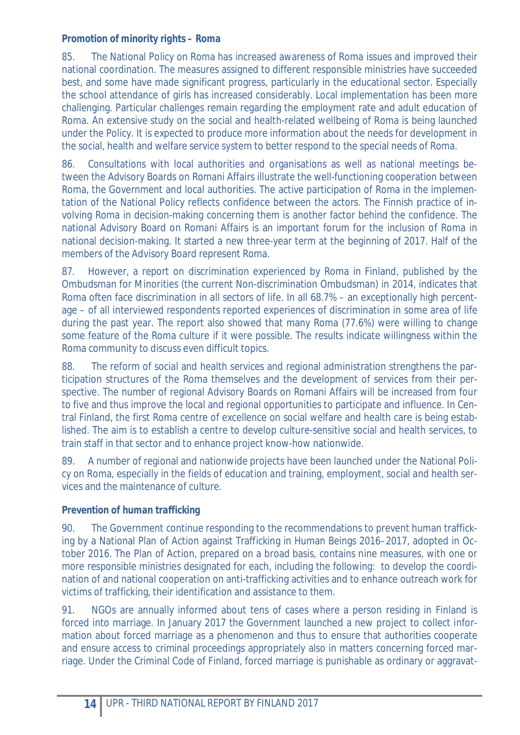# *Promotion of minority rights – Roma*

85. The National Policy on Roma has increased awareness of Roma issues and improved their national coordination. The measures assigned to different responsible ministries have succeeded best, and some have made significant progress, particularly in the educational sector. Especially the school attendance of girls has increased considerably. Local implementation has been more challenging. Particular challenges remain regarding the employment rate and adult education of Roma. An extensive study on the social and health-related wellbeing of Roma is being launched under the Policy. It is expected to produce more information about the needs for development in the social, health and welfare service system to better respond to the special needs of Roma.

86. Consultations with local authorities and organisations as well as national meetings between the Advisory Boards on Romani Affairs illustrate the well-functioning cooperation between Roma, the Government and local authorities. The active participation of Roma in the implementation of the National Policy reflects confidence between the actors. The Finnish practice of involving Roma in decision-making concerning them is another factor behind the confidence. The national Advisory Board on Romani Affairs is an important forum for the inclusion of Roma in national decision-making. It started a new three-year term at the beginning of 2017. Half of the members of the Advisory Board represent Roma.

87. However, a report on discrimination experienced by Roma in Finland, published by the Ombudsman for Minorities (the current Non-discrimination Ombudsman) in 2014, indicates that Roma often face discrimination in all sectors of life. In all 68.7% – an exceptionally high percentage – of all interviewed respondents reported experiences of discrimination in some area of life during the past year. The report also showed that many Roma (77.6%) were willing to change some feature of the Roma culture if it were possible. The results indicate willingness within the Roma community to discuss even difficult topics.

88. The reform of social and health services and regional administration strengthens the participation structures of the Roma themselves and the development of services from their perspective. The number of regional Advisory Boards on Romani Affairs will be increased from four to five and thus improve the local and regional opportunities to participate and influence. In Central Finland, the first Roma centre of excellence on social welfare and health care is being established. The aim is to establish a centre to develop culture-sensitive social and health services, to train staff in that sector and to enhance project know-how nationwide.

89. A number of regional and nationwide projects have been launched under the National Policy on Roma, especially in the fields of education and training, employment, social and health services and the maintenance of culture.

# *Prevention of human trafficking*

90. The Government continue responding to the recommendations to prevent human trafficking by a National Plan of Action against Trafficking in Human Beings 2016–2017, adopted in October 2016. The Plan of Action, prepared on a broad basis, contains nine measures, with one or more responsible ministries designated for each, including the following: to develop the coordination of and national cooperation on anti-trafficking activities and to enhance outreach work for victims of trafficking, their identification and assistance to them.

91. NGOs are annually informed about tens of cases where a person residing in Finland is forced into marriage. In January 2017 the Government launched a new project to collect information about forced marriage as a phenomenon and thus to ensure that authorities cooperate and ensure access to criminal proceedings appropriately also in matters concerning forced marriage. Under the Criminal Code of Finland, forced marriage is punishable as ordinary or aggravat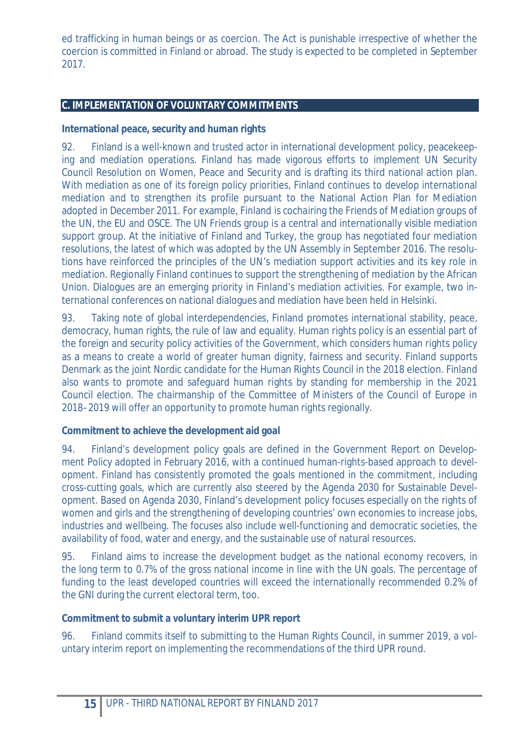ed trafficking in human beings or as coercion. The Act is punishable irrespective of whether the coercion is committed in Finland or abroad. The study is expected to be completed in September 2017.

## **C. IMPLEMENTATION OF VOLUNTARY COMMITMENTS**

**International peace, security and human rights** 

92. Finland is a well-known and trusted actor in international development policy, peacekeeping and mediation operations. Finland has made vigorous efforts to implement UN Security Council Resolution on Women, Peace and Security and is drafting its third national action plan. With mediation as one of its foreign policy priorities, Finland continues to develop international mediation and to strengthen its profile pursuant to the National Action Plan for Mediation adopted in December 2011. For example, Finland is cochairing the Friends of Mediation groups of the UN, the EU and OSCE. The UN Friends group is a central and internationally visible mediation support group. At the initiative of Finland and Turkey, the group has negotiated four mediation resolutions, the latest of which was adopted by the UN Assembly in September 2016. The resolutions have reinforced the principles of the UN's mediation support activities and its key role in mediation. Regionally Finland continues to support the strengthening of mediation by the African Union. Dialogues are an emerging priority in Finland's mediation activities. For example, two international conferences on national dialogues and mediation have been held in Helsinki.

93. Taking note of global interdependencies, Finland promotes international stability, peace, democracy, human rights, the rule of law and equality. Human rights policy is an essential part of the foreign and security policy activities of the Government, which considers human rights policy as a means to create a world of greater human dignity, fairness and security. Finland supports Denmark as the joint Nordic candidate for the Human Rights Council in the 2018 election. Finland also wants to promote and safeguard human rights by standing for membership in the 2021 Council election. The chairmanship of the Committee of Ministers of the Council of Europe in 2018–2019 will offer an opportunity to promote human rights regionally.

**Commitment to achieve the development aid goal** 

94. Finland's development policy goals are defined in the Government Report on Development Policy adopted in February 2016, with a continued human-rights-based approach to development. Finland has consistently promoted the goals mentioned in the commitment, including cross-cutting goals, which are currently also steered by the Agenda 2030 for Sustainable Development. Based on Agenda 2030, Finland's development policy focuses especially on the rights of women and girls and the strengthening of developing countries' own economies to increase jobs, industries and wellbeing. The focuses also include well-functioning and democratic societies, the availability of food, water and energy, and the sustainable use of natural resources.

95. Finland aims to increase the development budget as the national economy recovers, in the long term to 0.7% of the gross national income in line with the UN goals. The percentage of funding to the least developed countries will exceed the internationally recommended 0.2% of the GNI during the current electoral term, too.

**Commitment to submit a voluntary interim UPR report** 

96. Finland commits itself to submitting to the Human Rights Council, in summer 2019, a voluntary interim report on implementing the recommendations of the third UPR round.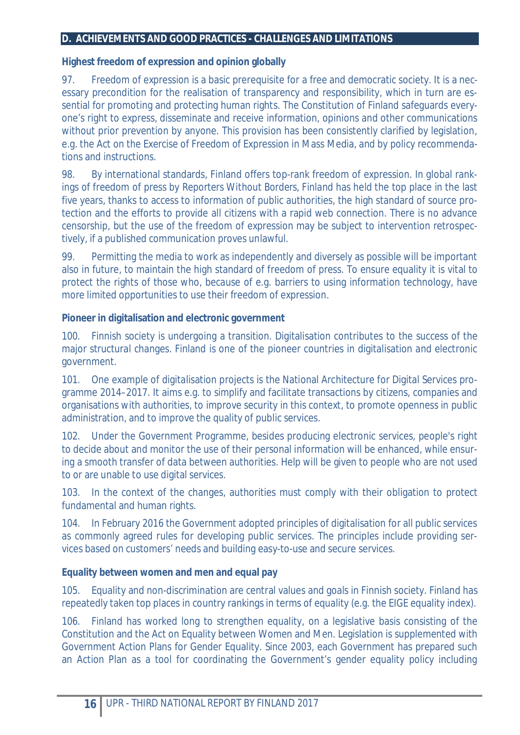#### **D. ACHIEVEMENTS AND GOOD PRACTICES - CHALLENGES AND LIMITATIONS**

**Highest freedom of expression and opinion globally** 

97. Freedom of expression is a basic prerequisite for a free and democratic society. It is a necessary precondition for the realisation of transparency and responsibility, which in turn are essential for promoting and protecting human rights. The Constitution of Finland safeguards everyone's right to express, disseminate and receive information, opinions and other communications without prior prevention by anyone. This provision has been consistently clarified by legislation, e.g. the Act on the Exercise of Freedom of Expression in Mass Media, and by policy recommendations and instructions.

98. By international standards, Finland offers top-rank freedom of expression. In global rankings of freedom of press by *Reporters Without Borders*, Finland has held the top place in the last five years, thanks to access to information of public authorities, the high standard of source protection and the efforts to provide all citizens with a rapid web connection. There is no advance censorship, but the use of the freedom of expression may be subject to intervention retrospectively, if a published communication proves unlawful.

99. Permitting the media to work as independently and diversely as possible will be important also in future, to maintain the high standard of freedom of press. To ensure equality it is vital to protect the rights of those who, because of e.g. barriers to using information technology, have more limited opportunities to use their freedom of expression.

**Pioneer in digitalisation and electronic government** 

100. Finnish society is undergoing a transition. Digitalisation contributes to the success of the major structural changes. Finland is one of the pioneer countries in digitalisation and electronic government.

101. One example of digitalisation projects is the National Architecture for Digital Services programme 2014–2017. It aims e.g. to simplify and facilitate transactions by citizens, companies and organisations with authorities, to improve security in this context, to promote openness in public administration, and to improve the quality of public services.

102. Under the Government Programme, besides producing electronic services, people's right to decide about and monitor the use of their personal information will be enhanced, while ensuring a smooth transfer of data between authorities. Help will be given to people who are not used to or are unable to use digital services.

103. In the context of the changes, authorities must comply with their obligation to protect fundamental and human rights.

104. In February 2016 the Government adopted principles of digitalisation for all public services as commonly agreed rules for developing public services. The principles include providing services based on customers' needs and building easy-to-use and secure services.

**Equality between women and men and equal pay** 

105. Equality and non-discrimination are central values and goals in Finnish society. Finland has repeatedly taken top places in country rankings in terms of equality (e.g. the EIGE equality index).

106. Finland has worked long to strengthen equality, on a legislative basis consisting of the Constitution and the Act on Equality between Women and Men. Legislation is supplemented with Government Action Plans for Gender Equality. Since 2003, each Government has prepared such an Action Plan as a tool for coordinating the Government's gender equality policy including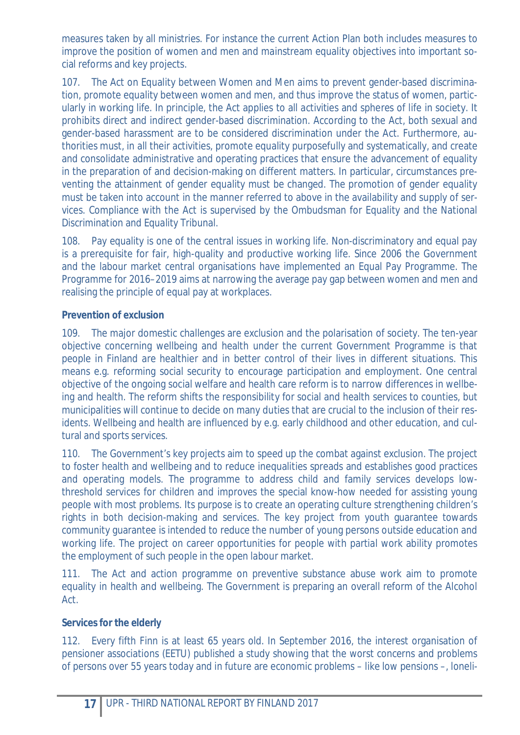measures taken by all ministries. For instance the current Action Plan both includes measures to improve the position of women and men and mainstream equality objectives into important social reforms and key projects.

107. The Act on Equality between Women and Men aims to prevent gender-based discrimination, promote equality between women and men, and thus improve the status of women, particularly in working life. In principle, the Act applies to all activities and spheres of life in society. It prohibits direct and indirect gender-based discrimination. According to the Act, both sexual and gender-based harassment are to be considered discrimination under the Act. Furthermore, authorities must, in all their activities, promote equality purposefully and systematically, and create and consolidate administrative and operating practices that ensure the advancement of equality in the preparation of and decision-making on different matters. In particular, circumstances preventing the attainment of gender equality must be changed. The promotion of gender equality must be taken into account in the manner referred to above in the availability and supply of services. Compliance with the Act is supervised by the Ombudsman for Equality and the National Discrimination and Equality Tribunal.

108. Pay equality is one of the central issues in working life. Non-discriminatory and equal pay is a prerequisite for fair, high-quality and productive working life. Since 2006 the Government and the labour market central organisations have implemented an Equal Pay Programme. The Programme for 2016–2019 aims at narrowing the average pay gap between women and men and realising the principle of equal pay at workplaces.

### **Prevention of exclusion**

109. The major domestic challenges are exclusion and the polarisation of society. The ten-year objective concerning wellbeing and health under the current Government Programme is that people in Finland are healthier and in better control of their lives in different situations. This means e.g. reforming social security to encourage participation and employment. One central objective of the ongoing social welfare and health care reform is to narrow differences in wellbeing and health. The reform shifts the responsibility for social and health services to counties, but municipalities will continue to decide on many duties that are crucial to the inclusion of their residents. Wellbeing and health are influenced by e.g. early childhood and other education, and cultural and sports services.

110. The Government's key projects aim to speed up the combat against exclusion. The project to foster health and wellbeing and to reduce inequalities spreads and establishes good practices and operating models. The programme to address child and family services develops lowthreshold services for children and improves the special know-how needed for assisting young people with most problems. Its purpose is to create an operating culture strengthening children's rights in both decision-making and services. The key project from youth guarantee towards community guarantee is intended to reduce the number of young persons outside education and working life. The project on career opportunities for people with partial work ability promotes the employment of such people in the open labour market.

111. The Act and action programme on preventive substance abuse work aim to promote equality in health and wellbeing. The Government is preparing an overall reform of the Alcohol Act.

### **Services for the elderly**

112. Every fifth Finn is at least 65 years old. In September 2016, the interest organisation of pensioner associations (EETU) published a study showing that the worst concerns and problems of persons over 55 years today and in future are economic problems – like low pensions –, loneli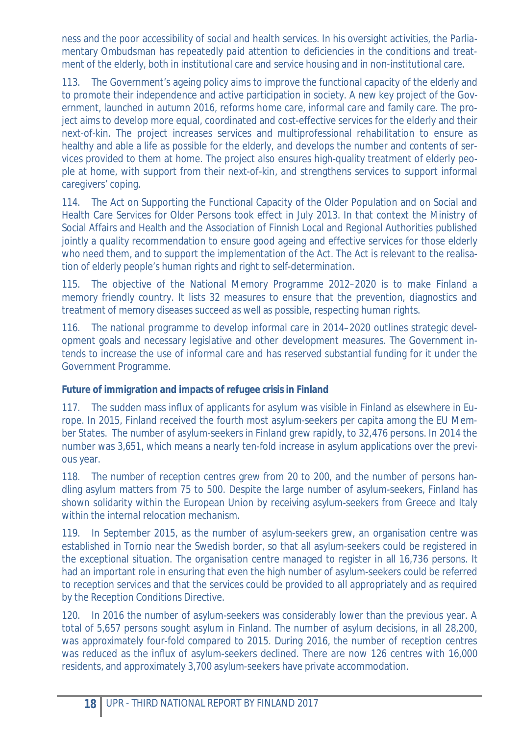ness and the poor accessibility of social and health services. In his oversight activities, the Parliamentary Ombudsman has repeatedly paid attention to deficiencies in the conditions and treatment of the elderly, both in institutional care and service housing and in non-institutional care.

113. The Government's ageing policy aims to improve the functional capacity of the elderly and to promote their independence and active participation in society. A new key project of the Government, launched in autumn 2016, reforms home care, informal care and family care. The project aims to develop more equal, coordinated and cost-effective services for the elderly and their next-of-kin. The project increases services and multiprofessional rehabilitation to ensure as healthy and able a life as possible for the elderly, and develops the number and contents of services provided to them at home. The project also ensures high-quality treatment of elderly people at home, with support from their next-of-kin, and strengthens services to support informal caregivers' coping.

114. The Act on Supporting the Functional Capacity of the Older Population and on Social and Health Care Services for Older Persons took effect in July 2013. In that context the Ministry of Social Affairs and Health and the Association of Finnish Local and Regional Authorities published jointly a quality recommendation to ensure good ageing and effective services for those elderly who need them, and to support the implementation of the Act. The Act is relevant to the realisation of elderly people's human rights and right to self-determination.

115. The objective of the National Memory Programme 2012–2020 is to make Finland a memory friendly country. It lists 32 measures to ensure that the prevention, diagnostics and treatment of memory diseases succeed as well as possible, respecting human rights.

116. The national programme to develop informal care in 2014–2020 outlines strategic development goals and necessary legislative and other development measures. The Government intends to increase the use of informal care and has reserved substantial funding for it under the Government Programme.

**Future of immigration and impacts of refugee crisis in Finland** 

117. The sudden mass influx of applicants for asylum was visible in Finland as elsewhere in Europe. In 2015, Finland received the fourth most asylum-seekers per capita among the EU Member States. The number of asylum-seekers in Finland grew rapidly, to 32,476 persons. In 2014 the number was 3,651, which means a nearly ten-fold increase in asylum applications over the previous year.

118. The number of reception centres grew from 20 to 200, and the number of persons handling asylum matters from 75 to 500. Despite the large number of asylum-seekers, Finland has shown solidarity within the European Union by receiving asylum-seekers from Greece and Italy within the internal relocation mechanism.

119. In September 2015, as the number of asylum-seekers grew, an organisation centre was established in Tornio near the Swedish border, so that all asylum-seekers could be registered in the exceptional situation. The organisation centre managed to register in all 16,736 persons. It had an important role in ensuring that even the high number of asylum-seekers could be referred to reception services and that the services could be provided to all appropriately and as required by the Reception Conditions Directive.

120. In 2016 the number of asylum-seekers was considerably lower than the previous year. A total of 5,657 persons sought asylum in Finland. The number of asylum decisions, in all 28,200, was approximately four-fold compared to 2015. During 2016, the number of reception centres was reduced as the influx of asylum-seekers declined. There are now 126 centres with 16,000 residents, and approximately 3,700 asylum-seekers have private accommodation.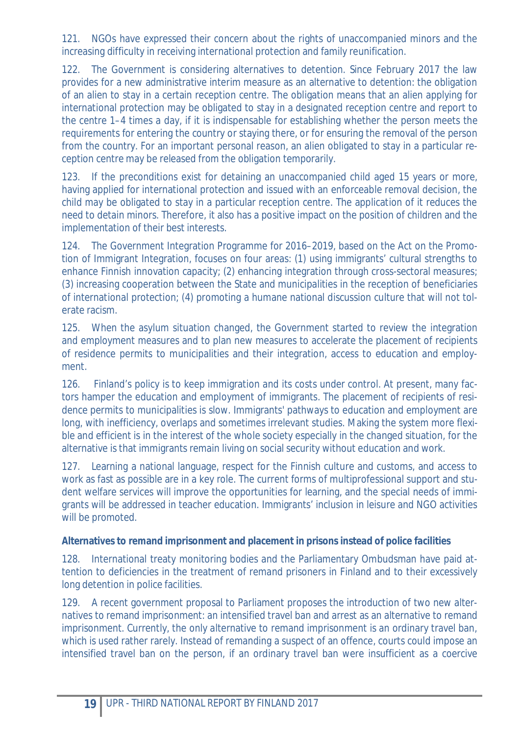121. NGOs have expressed their concern about the rights of unaccompanied minors and the increasing difficulty in receiving international protection and family reunification.

122. The Government is considering alternatives to detention. Since February 2017 the law provides for a new administrative interim measure as an alternative to detention: the obligation of an alien to stay in a certain reception centre. The obligation means that an alien applying for international protection may be obligated to stay in a designated reception centre and report to the centre 1–4 times a day, if it is indispensable for establishing whether the person meets the requirements for entering the country or staying there, or for ensuring the removal of the person from the country. For an important personal reason, an alien obligated to stay in a particular reception centre may be released from the obligation temporarily.

123. If the preconditions exist for detaining an unaccompanied child aged 15 years or more, having applied for international protection and issued with an enforceable removal decision, the child may be obligated to stay in a particular reception centre. The application of it reduces the need to detain minors. Therefore, it also has a positive impact on the position of children and the implementation of their best interests.

124. The Government Integration Programme for 2016–2019, based on the Act on the Promotion of Immigrant Integration, focuses on four areas: (1) using immigrants' cultural strengths to enhance Finnish innovation capacity; (2) enhancing integration through cross-sectoral measures; (3) increasing cooperation between the State and municipalities in the reception of beneficiaries of international protection; (4) promoting a humane national discussion culture that will not tolerate racism.

125. When the asylum situation changed, the Government started to review the integration and employment measures and to plan new measures to accelerate the placement of recipients of residence permits to municipalities and their integration, access to education and employment.

126. Finland's policy is to keep immigration and its costs under control. At present, many factors hamper the education and employment of immigrants. The placement of recipients of residence permits to municipalities is slow. Immigrants' pathways to education and employment are long, with inefficiency, overlaps and sometimes irrelevant studies. Making the system more flexible and efficient is in the interest of the whole society especially in the changed situation, for the alternative is that immigrants remain living on social security without education and work.

127. Learning a national language, respect for the Finnish culture and customs, and access to work as fast as possible are in a key role. The current forms of multiprofessional support and student welfare services will improve the opportunities for learning, and the special needs of immigrants will be addressed in teacher education. Immigrants' inclusion in leisure and NGO activities will be promoted.

**Alternatives to remand imprisonment and placement in prisons instead of police facilities** 

128. International treaty monitoring bodies and the Parliamentary Ombudsman have paid attention to deficiencies in the treatment of remand prisoners in Finland and to their excessively long detention in police facilities.

129. A recent government proposal to Parliament proposes the introduction of two new alternatives to remand imprisonment: an intensified travel ban and arrest as an alternative to remand imprisonment. Currently, the only alternative to remand imprisonment is an ordinary travel ban, which is used rather rarely. Instead of remanding a suspect of an offence, courts could impose an intensified travel ban on the person, if an ordinary travel ban were insufficient as a coercive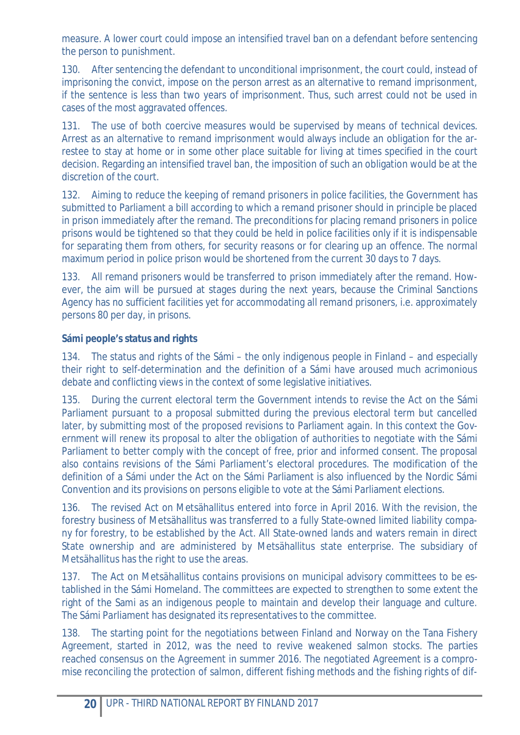measure. A lower court could impose an intensified travel ban on a defendant before sentencing the person to punishment.

130. After sentencing the defendant to unconditional imprisonment, the court could, instead of imprisoning the convict, impose on the person arrest as an alternative to remand imprisonment, if the sentence is less than two years of imprisonment. Thus, such arrest could not be used in cases of the most aggravated offences.

131. The use of both coercive measures would be supervised by means of technical devices. Arrest as an alternative to remand imprisonment would always include an obligation for the arrestee to stay at home or in some other place suitable for living at times specified in the court decision. Regarding an intensified travel ban, the imposition of such an obligation would be at the discretion of the court.

132. Aiming to reduce the keeping of remand prisoners in police facilities, the Government has submitted to Parliament a bill according to which a remand prisoner should in principle be placed in prison immediately after the remand. The preconditions for placing remand prisoners in police prisons would be tightened so that they could be held in police facilities only if it is indispensable for separating them from others, for security reasons or for clearing up an offence. The normal maximum period in police prison would be shortened from the current 30 days to 7 days.

133. All remand prisoners would be transferred to prison immediately after the remand. However, the aim will be pursued at stages during the next years, because the Criminal Sanctions Agency has no sufficient facilities yet for accommodating all remand prisoners, i.e. approximately persons 80 per day, in prisons.

# **Sámi people's status and rights**

134. The status and rights of the Sámi – the only indigenous people in Finland – and especially their right to self-determination and the definition of a Sámi have aroused much acrimonious debate and conflicting views in the context of some legislative initiatives.

135. During the current electoral term the Government intends to revise the Act on the Sámi Parliament pursuant to a proposal submitted during the previous electoral term but cancelled later, by submitting most of the proposed revisions to Parliament again. In this context the Government will renew its proposal to alter the obligation of authorities to negotiate with the Sámi Parliament to better comply with the concept of free, prior and informed consent. The proposal also contains revisions of the Sámi Parliament's electoral procedures. The modification of the definition of a Sámi under the Act on the Sámi Parliament is also influenced by the Nordic Sámi Convention and its provisions on persons eligible to vote at the Sámi Parliament elections.

136. The revised Act on Metsähallitus entered into force in April 2016. With the revision, the forestry business of Metsähallitus was transferred to a fully State-owned limited liability company for forestry, to be established by the Act. All State-owned lands and waters remain in direct State ownership and are administered by Metsähallitus state enterprise. The subsidiary of Metsähallitus has the right to use the areas.

137. The Act on Metsähallitus contains provisions on municipal advisory committees to be established in the Sámi Homeland. The committees are expected to strengthen to some extent the right of the Sami as an indigenous people to maintain and develop their language and culture. The Sámi Parliament has designated its representatives to the committee.

138. The starting point for the negotiations between Finland and Norway on the Tana Fishery Agreement, started in 2012, was the need to revive weakened salmon stocks. The parties reached consensus on the Agreement in summer 2016. The negotiated Agreement is a compromise reconciling the protection of salmon, different fishing methods and the fishing rights of dif